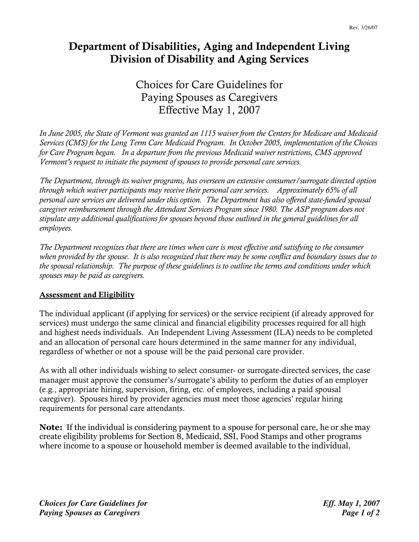# Department of Disabilities, Aging and Independent Living Division of Disability and Aging Services

## Choices for Care Guidelines for Paying Spouses as Caregivers Effective May 1, 2007

In June 2005, the State of Vermont was granted an 1115 waiver from the Centers for Medicare and Medicaid Services (CMS) for the Long Term Care Medicaid Program. In October 2005, implementation of the Choices for Care Program began. In a departure from the previous Medicaid waiver restrictions, CMS approved Vermont's request to initiate the payment of spouses to provide personal care services.

The Department, through its waiver programs, has overseen an extensive consumer/surrogate directed option through which waiver participants may receive their personal care services. Approximately 65% of all personal care services are delivered under this option. The Department has also offered state-funded spousal caregiver reimbursement through the Attendant Services Program since 1980. The ASP program does not stipulate any additional qualifications for spouses beyond those outlined in the general guidelines for all employees.

The Department recognizes that there are times when care is most effective and satisfying to the consumer when provided by the spouse. It is also recognized that there may be some conflict and boundary issues due to the spousal relationship. The purpose of these guidelines is to outline the terms and conditions under which spouses may be paid as caregivers.

#### **Assessment and Eligibility**

The individual applicant (if applying for services) or the service recipient (if already approved for services) must undergo the same clinical and financial eligibility processes required for all high and highest needs individuals. An Independent Living Assessment (ILA) needs to be completed and an allocation of personal care hours determined in the same manner for any individual, regardless of whether or not a spouse will be the paid personal care provider.

As with all other individuals wishing to select consumer- or surrogate-directed services, the case manager must approve the consumer's/surrogate's ability to perform the duties of an employer (e.g., appropriate hiring, supervision, firing, etc. of employees, including a paid spousal caregiver). Spouses hired by provider agencies must meet those agencies' regular hiring requirements for personal care attendants.

Note: If the individual is considering payment to a spouse for personal care, he or she may create eligibility problems for Section 8, Medicaid, SSI, Food Stamps and other programs where income to a spouse or household member is deemed available to the individual.